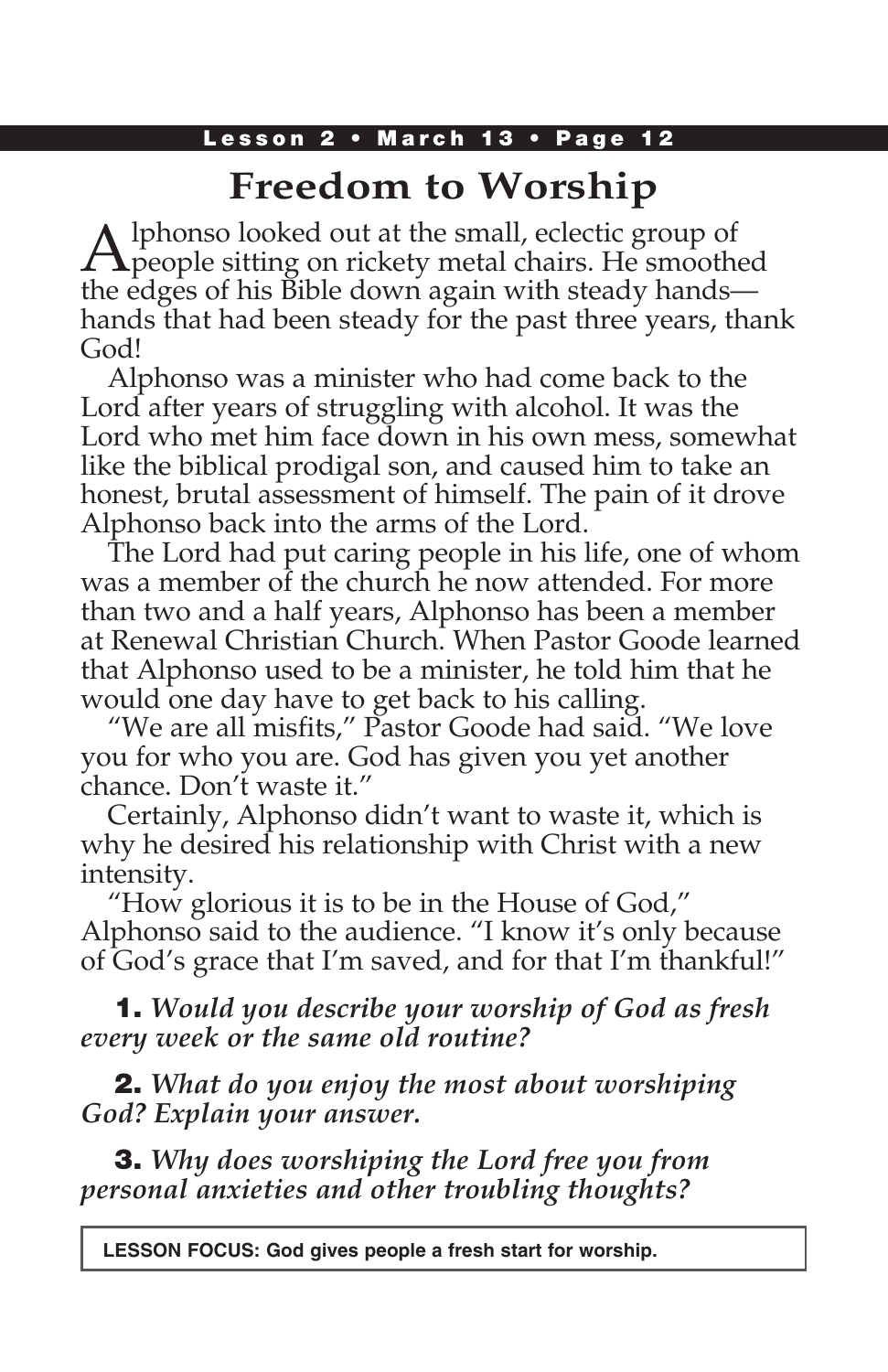# **Freedom to Worship**

Alphonso looked out at the small, eclectic group of people sitting on rickety metal chairs. He smoothed the edges of his Bible down again with steady hands hands that had been steady for the past three years, thank God!

Alphonso was a minister who had come back to the Lord after years of struggling with alcohol. It was the Lord who met him face down in his own mess, somewhat like the biblical prodigal son, and caused him to take an honest, brutal assessment of himself. The pain of it drove Alphonso back into the arms of the Lord.

The Lord had put caring people in his life, one of whom was a member of the church he now attended. For more than two and a half years, Alphonso has been a member at Renewal Christian Church. When Pastor Goode learned that Alphonso used to be a minister, he told him that he would one day have to get back to his calling.

"We are all misfits," Pastor Goode had said. "We love you for who you are. God has given you yet another chance. Don't waste it."

Certainly, Alphonso didn't want to waste it, which is why he desired his relationship with Christ with a new intensity.

"How glorious it is to be in the House of God," Alphonso said to the audience. "I know it's only because of God's grace that I'm saved, and for that I'm thankful!"

1. *Would you describe your worship of God as fresh every week or the same old routine?*

2. *What do you enjoy the most about worshiping God? Explain your answer.*

3. *Why does worshiping the Lord free you from personal anxieties and other troubling thoughts?*

**LESSON FOCUS: God gives people a fresh start for worship.**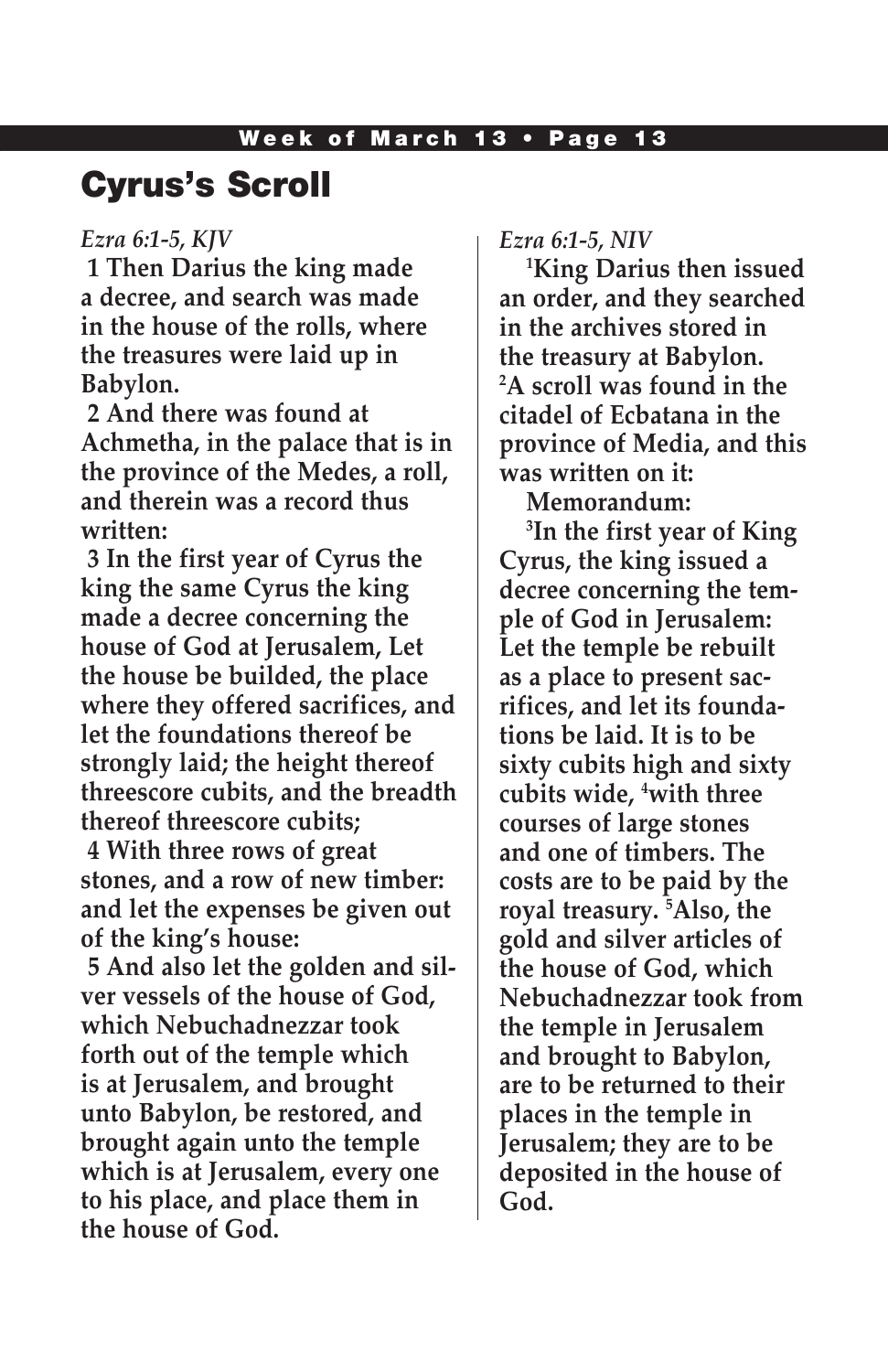# Cyrus's Scroll

### *Ezra 6:1-5, KJV*

**1 Then Darius the king made a decree, and search was made in the house of the rolls, where the treasures were laid up in Babylon.**

**2 And there was found at Achmetha, in the palace that is in the province of the Medes, a roll, and therein was a record thus written:**

**3 In the first year of Cyrus the king the same Cyrus the king made a decree concerning the house of God at Jerusalem, Let the house be builded, the place where they offered sacrifices, and let the foundations thereof be strongly laid; the height thereof threescore cubits, and the breadth thereof threescore cubits;**

**4 With three rows of great stones, and a row of new timber: and let the expenses be given out of the king's house:**

**5 And also let the golden and silver vessels of the house of God, which Nebuchadnezzar took forth out of the temple which is at Jerusalem, and brought unto Babylon, be restored, and brought again unto the temple which is at Jerusalem, every one to his place, and place them in the house of God.**

*Ezra 6:1-5, NIV*

**1 King Darius then issued an order, and they searched in the archives stored in the treasury at Babylon. 2 A scroll was found in the citadel of Ecbatana in the province of Media, and this was written on it:**

**Memorandum:**

**3 In the first year of King Cyrus, the king issued a decree concerning the temple of God in Jerusalem: Let the temple be rebuilt as a place to present sacrifices, and let its foundations be laid. It is to be sixty cubits high and sixty cubits wide, 4 with three courses of large stones and one of timbers. The costs are to be paid by the royal treasury. 5 Also, the gold and silver articles of the house of God, which Nebuchadnezzar took from the temple in Jerusalem and brought to Babylon, are to be returned to their places in the temple in Jerusalem; they are to be deposited in the house of God.**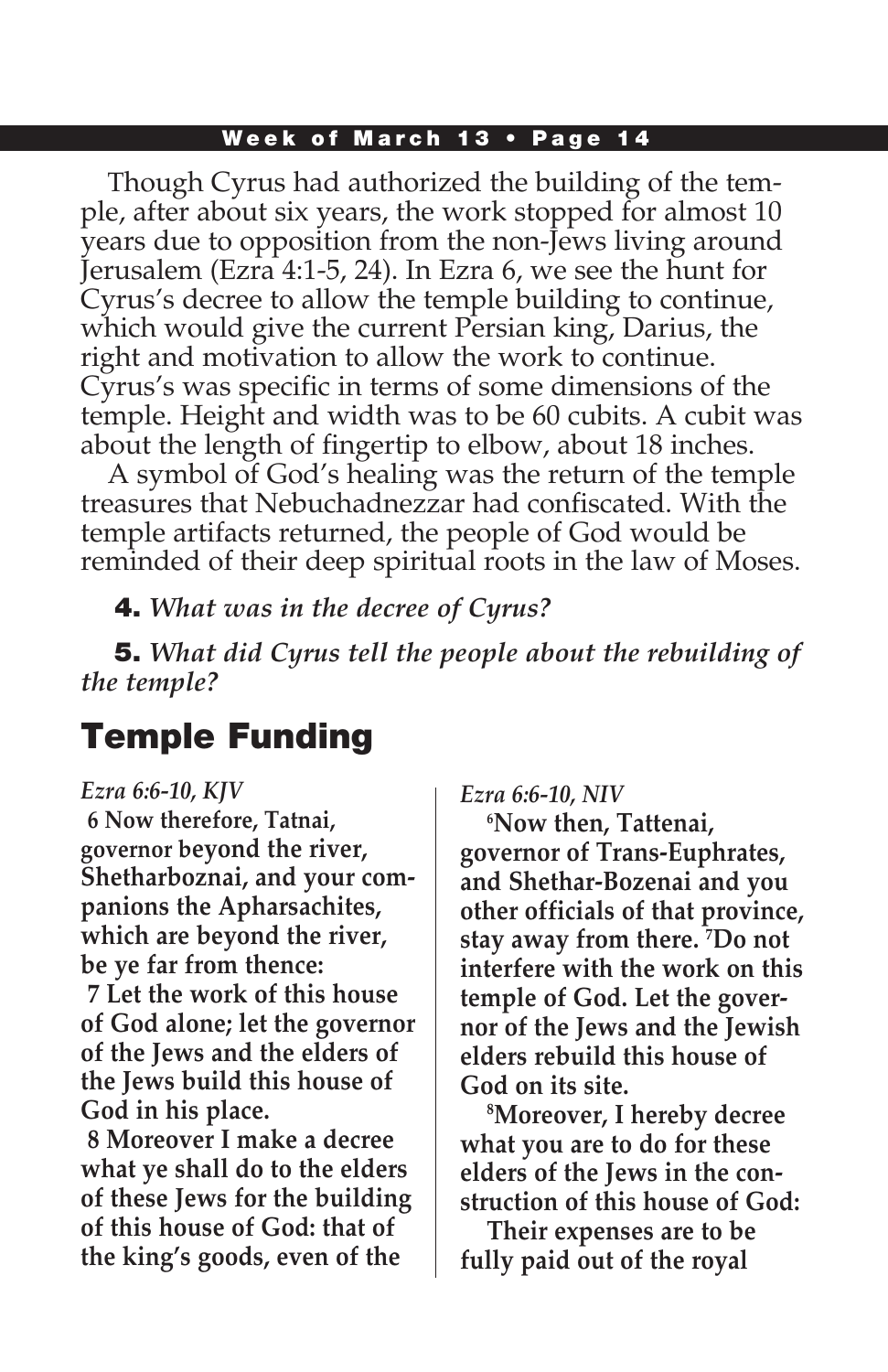#### Week of March 13 • Page 14

Though Cyrus had authorized the building of the temple, after about six years, the work stopped for almost 10 years due to opposition from the non-Jews living around Jerusalem (Ezra 4:1-5, 24). In Ezra 6, we see the hunt for Cyrus's decree to allow the temple building to continue, which would give the current Persian king, Darius, the right and motivation to allow the work to continue. Cyrus's was specific in terms of some dimensions of the temple. Height and width was to be 60 cubits. A cubit was about the length of fingertip to elbow, about 18 inches.

A symbol of God's healing was the return of the temple treasures that Nebuchadnezzar had confiscated. With the temple artifacts returned, the people of God would be reminded of their deep spiritual roots in the law of Moses.

4. *What was in the decree of Cyrus?* 

5. *What did Cyrus tell the people about the rebuilding of the temple?*

# Temple Funding

### *Ezra 6:6-10, KJV*

**6 Now therefore, Tatnai, governor beyond the river, Shetharboznai, and your companions the Apharsachites, which are beyond the river, be ye far from thence: 7 Let the work of this house of God alone; let the governor of the Jews and the elders of the Jews build this house of God in his place.**

**8 Moreover I make a decree what ye shall do to the elders of these Jews for the building of this house of God: that of the king's goods, even of the** 

*Ezra 6:6-10, NIV* 

**6 Now then, Tattenai, governor of Trans-Euphrates, and Shethar-Bozenai and you other officials of that province, stay away from there. 7 Do not interfere with the work on this temple of God. Let the governor of the Jews and the Jewish elders rebuild this house of God on its site.**

**8 Moreover, I hereby decree what you are to do for these elders of the Jews in the construction of this house of God:**

**Their expenses are to be fully paid out of the royal**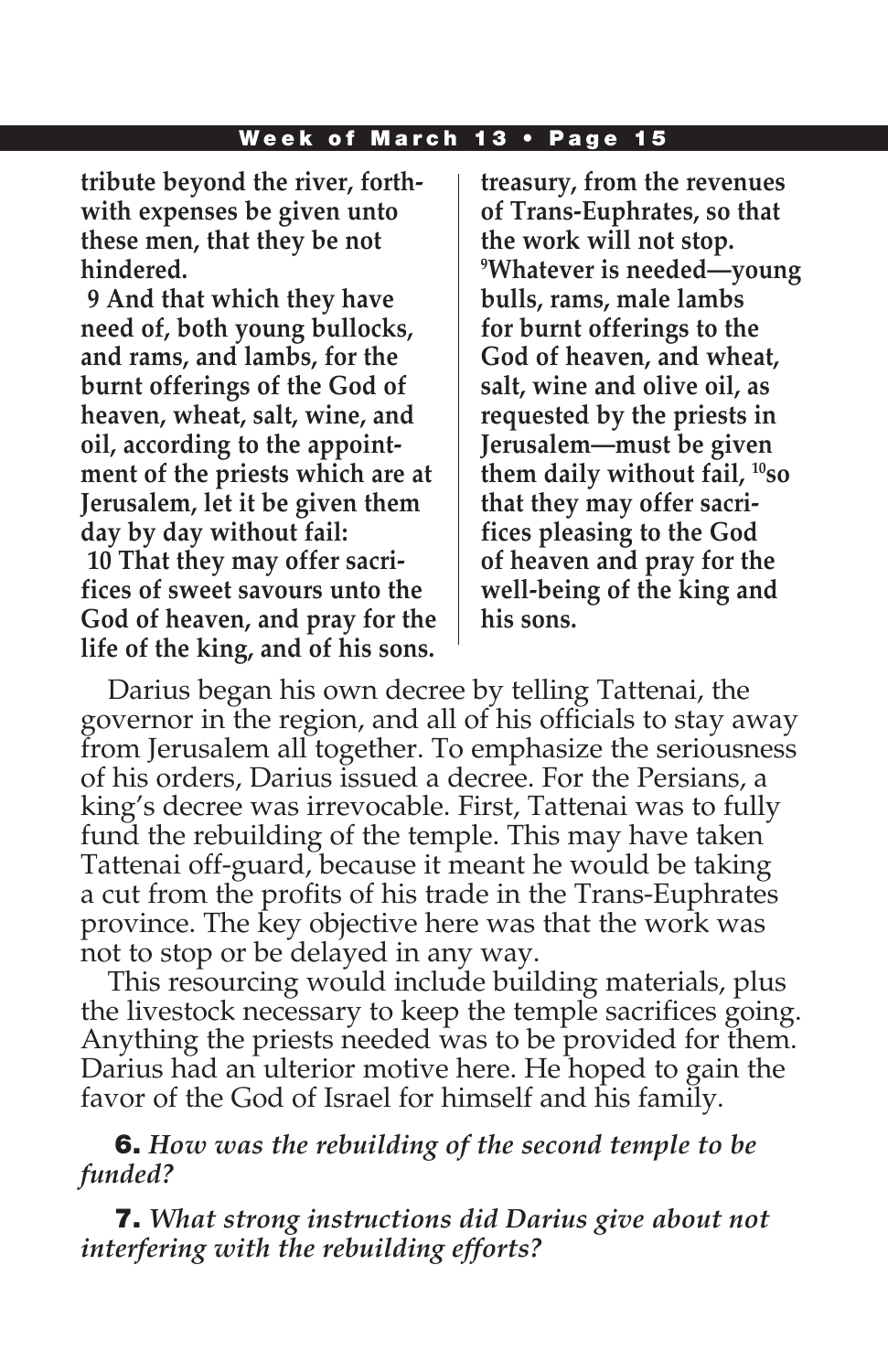#### Week of March 13 • Page 15

**tribute beyond the river, forthwith expenses be given unto these men, that they be not hindered.**

**9 And that which they have need of, both young bullocks, and rams, and lambs, for the burnt offerings of the God of heaven, wheat, salt, wine, and oil, according to the appointment of the priests which are at Jerusalem, let it be given them day by day without fail: 10 That they may offer sacrifices of sweet savours unto the God of heaven, and pray for the life of the king, and of his sons.**

**treasury, from the revenues of Trans-Euphrates, so that the work will not stop. 9 Whatever is needed—young bulls, rams, male lambs for burnt offerings to the God of heaven, and wheat, salt, wine and olive oil, as requested by the priests in Jerusalem—must be given them daily without fail, 10so that they may offer sacrifices pleasing to the God of heaven and pray for the well-being of the king and his sons.**

Darius began his own decree by telling Tattenai, the governor in the region, and all of his officials to stay away from Jerusalem all together. To emphasize the seriousness of his orders, Darius issued a decree. For the Persians, a king's decree was irrevocable. First, Tattenai was to fully fund the rebuilding of the temple. This may have taken Tattenai off-guard, because it meant he would be taking a cut from the profits of his trade in the Trans-Euphrates province. The key objective here was that the work was not to stop or be delayed in any way.

This resourcing would include building materials, plus the livestock necessary to keep the temple sacrifices going. Anything the priests needed was to be provided for them. Darius had an ulterior motive here. He hoped to gain the favor of the God of Israel for himself and his family.

### 6. *How was the rebuilding of the second temple to be funded?*

7. *What strong instructions did Darius give about not interfering with the rebuilding efforts?*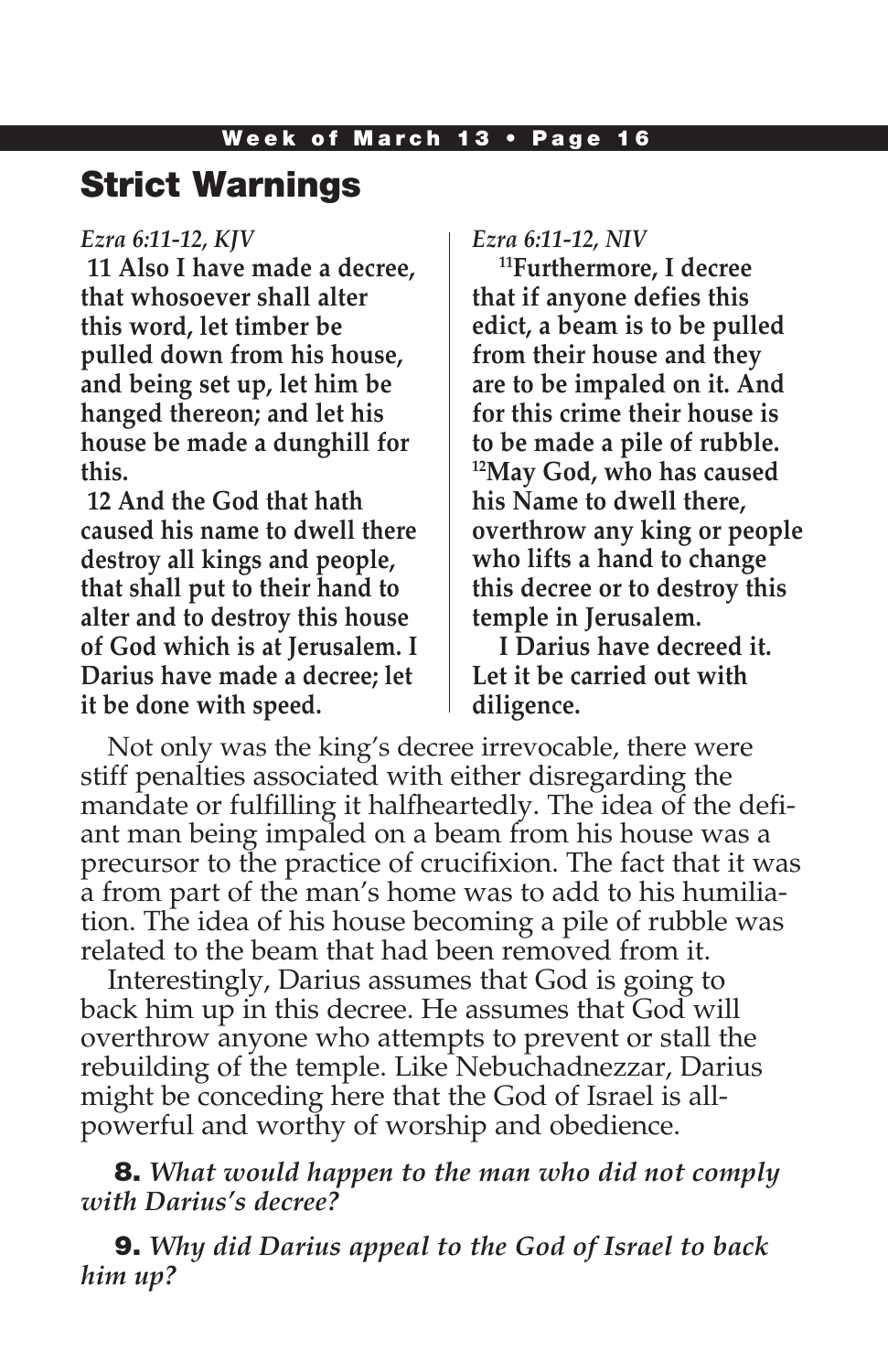## Strict Warnings

### *Ezra 6:11-12, KJV*

**11 Also I have made a decree, that whosoever shall alter this word, let timber be pulled down from his house, and being set up, let him be hanged thereon; and let his house be made a dunghill for this.**

**12 And the God that hath caused his name to dwell there destroy all kings and people, that shall put to their hand to alter and to destroy this house of God which is at Jerusalem. I Darius have made a decree; let it be done with speed.**

*Ezra 6:11-12, NIV* 

**11Furthermore, I decree that if anyone defies this edict, a beam is to be pulled from their house and they are to be impaled on it. And for this crime their house is to be made a pile of rubble. 12May God, who has caused his Name to dwell there, overthrow any king or people who lifts a hand to change this decree or to destroy this temple in Jerusalem.**

**I Darius have decreed it. Let it be carried out with diligence.**

Not only was the king's decree irrevocable, there were stiff penalties associated with either disregarding the mandate or fulfilling it halfheartedly. The idea of the defiant man being impaled on a beam from his house was a precursor to the practice of crucifixion. The fact that it was a from part of the man's home was to add to his humiliation. The idea of his house becoming a pile of rubble was related to the beam that had been removed from it.

Interestingly, Darius assumes that God is going to back him up in this decree. He assumes that God will overthrow anyone who attempts to prevent or stall the rebuilding of the temple. Like Nebuchadnezzar, Darius might be conceding here that the God of Israel is allpowerful and worthy of worship and obedience.

8. *What would happen to the man who did not comply with Darius's decree?* 

9. *Why did Darius appeal to the God of Israel to back him up?*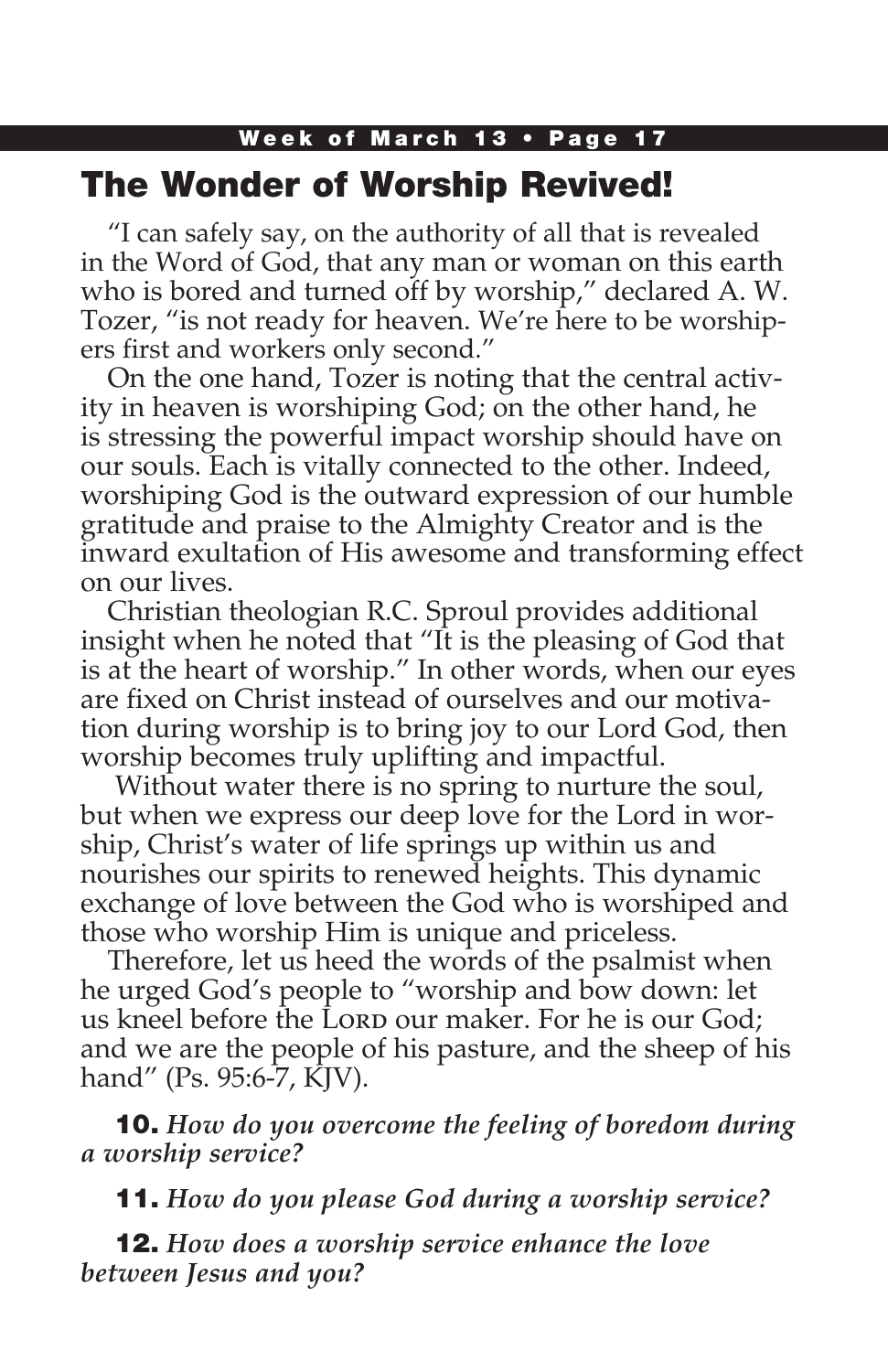## Week of March 13 • Page 17 The Wonder of Worship Revived!

"I can safely say, on the authority of all that is revealed in the Word of God, that any man or woman on this earth who is bored and turned off by worship," declared A. W. Tozer, "is not ready for heaven. We're here to be worshipers first and workers only second."

On the one hand, Tozer is noting that the central activity in heaven is worshiping God; on the other hand, he is stressing the powerful impact worship should have on our souls. Each is vitally connected to the other. Indeed, worshiping God is the outward expression of our humble gratitude and praise to the Almighty Creator and is the inward exultation of His awesome and transforming effect on our lives.

Christian theologian R.C. Sproul provides additional insight when he noted that "It is the pleasing of God that is at the heart of worship." In other words, when our eyes are fixed on Christ instead of ourselves and our motivation during worship is to bring joy to our Lord God, then worship becomes truly uplifting and impactful.

 Without water there is no spring to nurture the soul, but when we express our deep love for the Lord in worship, Christ's water of life springs up within us and nourishes our spirits to renewed heights. This dynamic exchange of love between the God who is worshiped and those who worship Him is unique and priceless.

Therefore, let us heed the words of the psalmist when he urged God's people to "worship and bow down: let us kneel before the Lorp our maker. For he is our God; and we are the people of his pasture, and the sheep of his hand" (Ps. 95:6-7, KJV).

10. *How do you overcome the feeling of boredom during a worship service?*

11. *How do you please God during a worship service?*

12. *How does a worship service enhance the love between Jesus and you?*